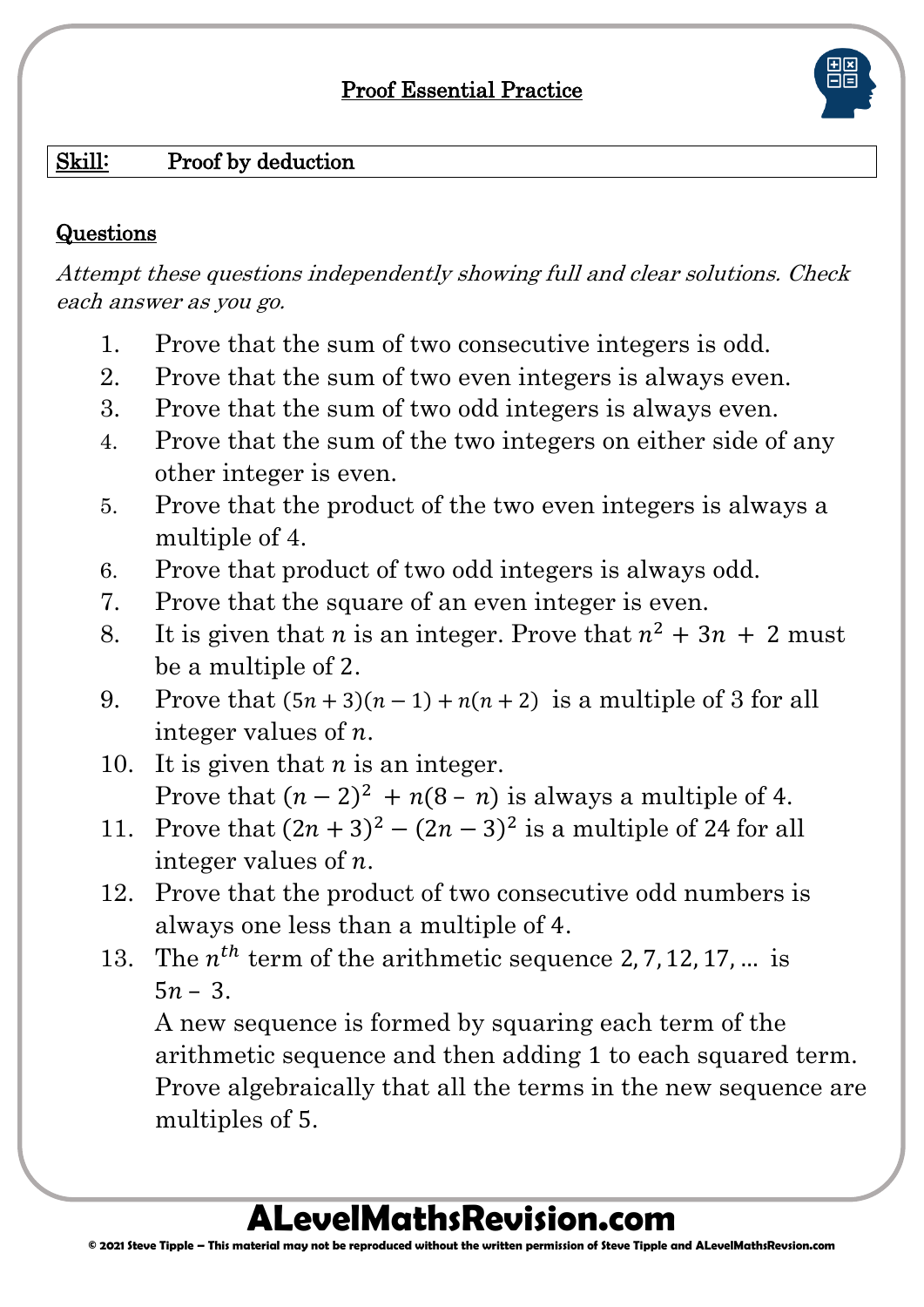### Proof Essential Practice

#### Skill: Proof by deduction

#### **Questions**

Attempt these questions independently showing full and clear solutions. Check each answer as you go.

- 1. Prove that the sum of two consecutive integers is odd.
- 2. Prove that the sum of two even integers is always even.
- 3. Prove that the sum of two odd integers is always even.
- 4. Prove that the sum of the two integers on either side of any other integer is even.
- 5. Prove that the product of the two even integers is always a multiple of 4.
- 6. Prove that product of two odd integers is always odd.
- 7. Prove that the square of an even integer is even.
- 8. It is given that *n* is an integer. Prove that  $n^2 + 3n + 2$  must be a multiple of 2.
- 9. Prove that  $(5n + 3)(n 1) + n(n + 2)$  is a multiple of 3 for all integer values of  $n$ .
- 10. It is given that  $n$  is an integer. Prove that  $(n-2)^2 + n(8-n)$  is always a multiple of 4.
- 11. Prove that  $(2n+3)^2 (2n-3)^2$  is a multiple of 24 for all integer values of  $n$ .
- 12. Prove that the product of two consecutive odd numbers is always one less than a multiple of 4.
- 13. The  $n^{th}$  term of the arithmetic sequence 2, 7, 12, 17, ... is  $5n - 3$ .

A new sequence is formed by squaring each term of the arithmetic sequence and then adding 1 to each squared term. Prove algebraically that all the terms in the new sequence are multiples of 5.

## **ALevelMathsRevision.com**